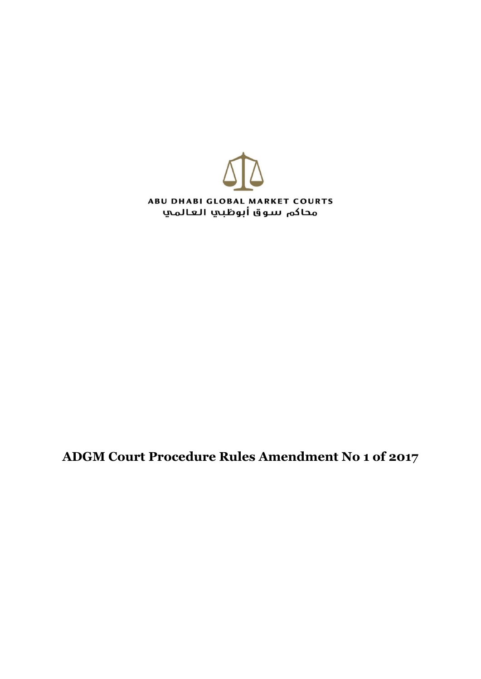

**ADGM Court Procedure Rules Amendment No 1 of 2017**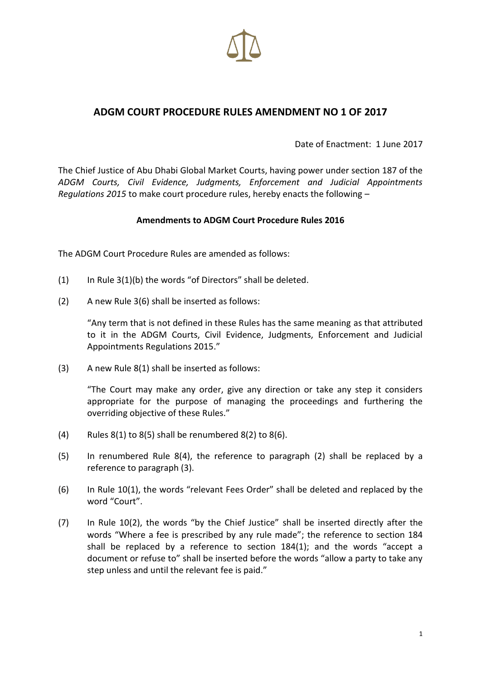

## **ADGM COURT PROCEDURE RULES AMENDMENT NO 1 OF 2017**

Date of Enactment: 1 June 2017

The Chief Justice of Abu Dhabi Global Market Courts, having power under section 187 of the *ADGM Courts, Civil Evidence, Judgments, Enforcement and Judicial Appointments Regulations 2015* to make court procedure rules, hereby enacts the following –

## **Amendments to ADGM Court Procedure Rules 2016**

The ADGM Court Procedure Rules are amended as follows:

- (1) In Rule  $3(1)(b)$  the words "of Directors" shall be deleted.
- (2) A new Rule 3(6) shall be inserted as follows:

"Any term that is not defined in these Rules has the same meaning as that attributed to it in the ADGM Courts, Civil Evidence, Judgments, Enforcement and Judicial Appointments Regulations 2015."

(3) A new Rule 8(1) shall be inserted as follows:

"The Court may make any order, give any direction or take any step it considers appropriate for the purpose of managing the proceedings and furthering the overriding objective of these Rules."

- (4) Rules  $8(1)$  to  $8(5)$  shall be renumbered  $8(2)$  to  $8(6)$ .
- (5) In renumbered Rule 8(4), the reference to paragraph (2) shall be replaced by a reference to paragraph (3).
- (6) In Rule 10(1), the words "relevant Fees Order" shall be deleted and replaced by the word "Court".
- (7) In Rule 10(2), the words "by the Chief Justice" shall be inserted directly after the words "Where a fee is prescribed by any rule made"; the reference to section 184 shall be replaced by a reference to section 184(1); and the words "accept a document or refuse to" shall be inserted before the words "allow a party to take any step unless and until the relevant fee is paid."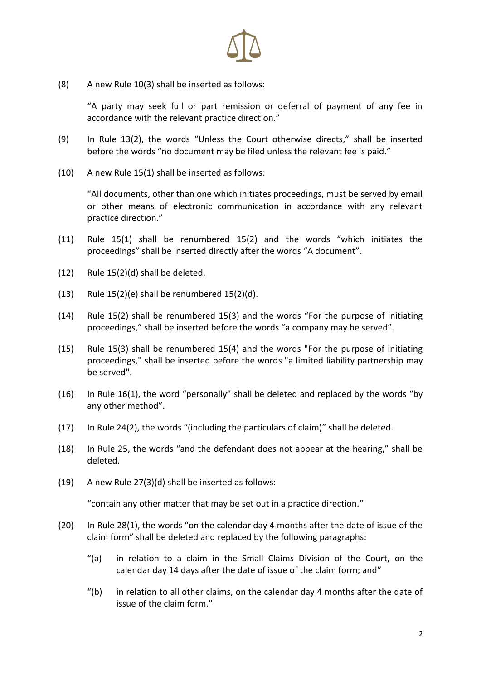

(8) A new Rule 10(3) shall be inserted as follows:

"A party may seek full or part remission or deferral of payment of any fee in accordance with the relevant practice direction."

- (9) In Rule 13(2), the words "Unless the Court otherwise directs," shall be inserted before the words "no document may be filed unless the relevant fee is paid."
- (10) A new Rule 15(1) shall be inserted as follows:

"All documents, other than one which initiates proceedings, must be served by email or other means of electronic communication in accordance with any relevant practice direction."

- (11) Rule 15(1) shall be renumbered 15(2) and the words "which initiates the proceedings" shall be inserted directly after the words "A document".
- (12) Rule 15(2)(d) shall be deleted.
- (13) Rule  $15(2)(e)$  shall be renumbered  $15(2)(d)$ .
- (14) Rule 15(2) shall be renumbered 15(3) and the words "For the purpose of initiating proceedings," shall be inserted before the words "a company may be served".
- (15) Rule 15(3) shall be renumbered 15(4) and the words "For the purpose of initiating proceedings," shall be inserted before the words "a limited liability partnership may be served".
- (16) In Rule 16(1), the word "personally" shall be deleted and replaced by the words "by any other method".
- (17) In Rule 24(2), the words "(including the particulars of claim)" shall be deleted.
- (18) In Rule 25, the words "and the defendant does not appear at the hearing," shall be deleted.
- (19) A new Rule 27(3)(d) shall be inserted as follows:

"contain any other matter that may be set out in a practice direction."

- (20) In Rule 28(1), the words "on the calendar day 4 months after the date of issue of the claim form" shall be deleted and replaced by the following paragraphs:
	- "(a) in relation to a claim in the Small Claims Division of the Court, on the calendar day 14 days after the date of issue of the claim form; and"
	- "(b) in relation to all other claims, on the calendar day 4 months after the date of issue of the claim form."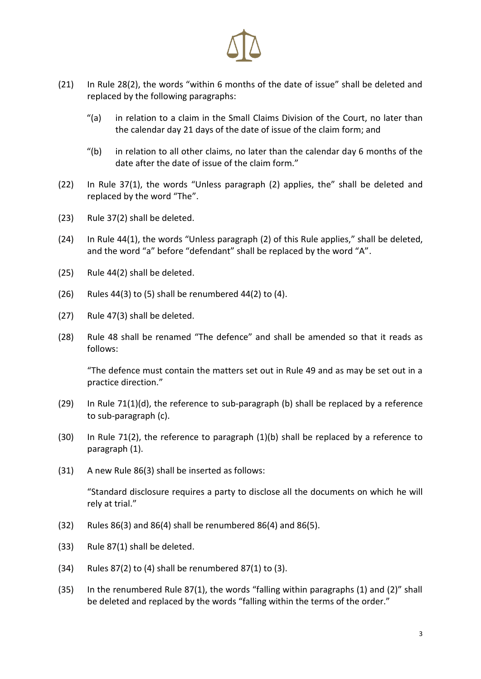

- (21) In Rule 28(2), the words "within 6 months of the date of issue" shall be deleted and replaced by the following paragraphs:
	- "(a) in relation to a claim in the Small Claims Division of the Court, no later than the calendar day 21 days of the date of issue of the claim form; and
	- "(b) in relation to all other claims, no later than the calendar day 6 months of the date after the date of issue of the claim form."
- (22) In Rule 37(1), the words "Unless paragraph (2) applies, the" shall be deleted and replaced by the word "The".
- (23) Rule 37(2) shall be deleted.
- (24) In Rule 44(1), the words "Unless paragraph (2) of this Rule applies," shall be deleted, and the word "a" before "defendant" shall be replaced by the word "A".
- (25) Rule 44(2) shall be deleted.
- (26) Rules 44(3) to  $(5)$  shall be renumbered 44(2) to  $(4)$ .
- (27) Rule 47(3) shall be deleted.
- (28) Rule 48 shall be renamed "The defence" and shall be amended so that it reads as follows:

"The defence must contain the matters set out in Rule 49 and as may be set out in a practice direction."

- (29) In Rule 71(1)(d), the reference to sub-paragraph (b) shall be replaced by a reference to sub-paragraph (c).
- (30) In Rule 71(2), the reference to paragraph (1)(b) shall be replaced by a reference to paragraph (1).
- (31) A new Rule 86(3) shall be inserted as follows:

"Standard disclosure requires a party to disclose all the documents on which he will rely at trial."

- (32) Rules 86(3) and 86(4) shall be renumbered 86(4) and 86(5).
- (33) Rule 87(1) shall be deleted.
- $(34)$  Rules 87(2) to (4) shall be renumbered 87(1) to (3).
- (35) In the renumbered Rule 87(1), the words "falling within paragraphs (1) and (2)" shall be deleted and replaced by the words "falling within the terms of the order."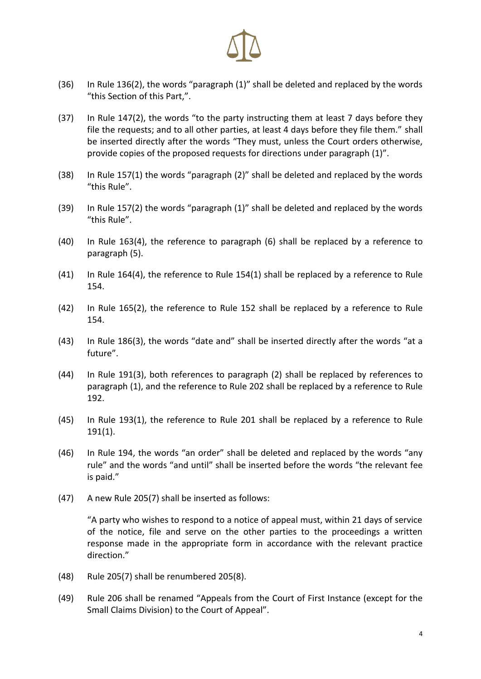

- (36) In Rule 136(2), the words "paragraph (1)" shall be deleted and replaced by the words "this Section of this Part,".
- (37) In Rule 147(2), the words "to the party instructing them at least 7 days before they file the requests; and to all other parties, at least 4 days before they file them." shall be inserted directly after the words "They must, unless the Court orders otherwise, provide copies of the proposed requests for directions under paragraph (1)".
- (38) In Rule 157(1) the words "paragraph (2)" shall be deleted and replaced by the words "this Rule".
- (39) In Rule 157(2) the words "paragraph (1)" shall be deleted and replaced by the words "this Rule".
- (40) In Rule 163(4), the reference to paragraph (6) shall be replaced by a reference to paragraph (5).
- (41) In Rule 164(4), the reference to Rule 154(1) shall be replaced by a reference to Rule 154.
- (42) In Rule 165(2), the reference to Rule 152 shall be replaced by a reference to Rule 154.
- (43) In Rule 186(3), the words "date and" shall be inserted directly after the words "at a future".
- (44) In Rule 191(3), both references to paragraph (2) shall be replaced by references to paragraph (1), and the reference to Rule 202 shall be replaced by a reference to Rule 192.
- (45) In Rule 193(1), the reference to Rule 201 shall be replaced by a reference to Rule 191(1).
- (46) In Rule 194, the words "an order" shall be deleted and replaced by the words "any rule" and the words "and until" shall be inserted before the words "the relevant fee is paid."
- (47) A new Rule 205(7) shall be inserted as follows:

"A party who wishes to respond to a notice of appeal must, within 21 days of service of the notice, file and serve on the other parties to the proceedings a written response made in the appropriate form in accordance with the relevant practice direction."

- (48) Rule 205(7) shall be renumbered 205(8).
- (49) Rule 206 shall be renamed "Appeals from the Court of First Instance (except for the Small Claims Division) to the Court of Appeal".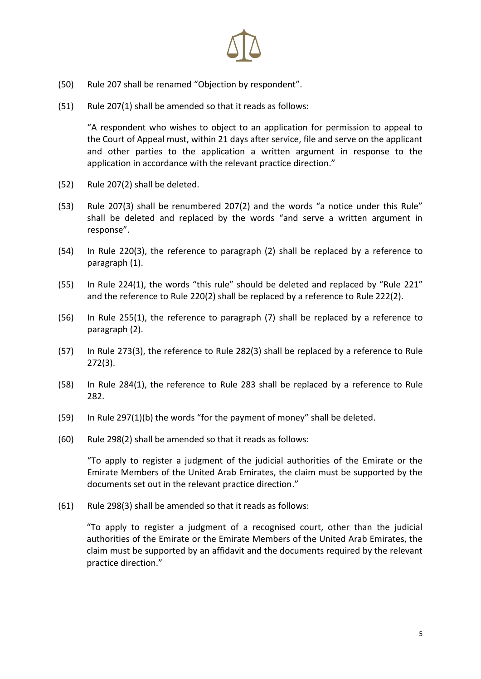

- (50) Rule 207 shall be renamed "Objection by respondent".
- (51) Rule 207(1) shall be amended so that it reads as follows:

"A respondent who wishes to object to an application for permission to appeal to the Court of Appeal must, within 21 days after service, file and serve on the applicant and other parties to the application a written argument in response to the application in accordance with the relevant practice direction."

- (52) Rule 207(2) shall be deleted.
- (53) Rule 207(3) shall be renumbered 207(2) and the words "a notice under this Rule" shall be deleted and replaced by the words "and serve a written argument in response".
- (54) In Rule 220(3), the reference to paragraph (2) shall be replaced by a reference to paragraph (1).
- (55) In Rule 224(1), the words "this rule" should be deleted and replaced by "Rule 221" and the reference to Rule 220(2) shall be replaced by a reference to Rule 222(2).
- (56) In Rule 255(1), the reference to paragraph (7) shall be replaced by a reference to paragraph (2).
- (57) In Rule 273(3), the reference to Rule 282(3) shall be replaced by a reference to Rule 272(3).
- (58) In Rule 284(1), the reference to Rule 283 shall be replaced by a reference to Rule 282.
- (59) In Rule 297(1)(b) the words "for the payment of money" shall be deleted.
- (60) Rule 298(2) shall be amended so that it reads as follows:

"To apply to register a judgment of the judicial authorities of the Emirate or the Emirate Members of the United Arab Emirates, the claim must be supported by the documents set out in the relevant practice direction."

(61) Rule 298(3) shall be amended so that it reads as follows:

"To apply to register a judgment of a recognised court, other than the judicial authorities of the Emirate or the Emirate Members of the United Arab Emirates, the claim must be supported by an affidavit and the documents required by the relevant practice direction."